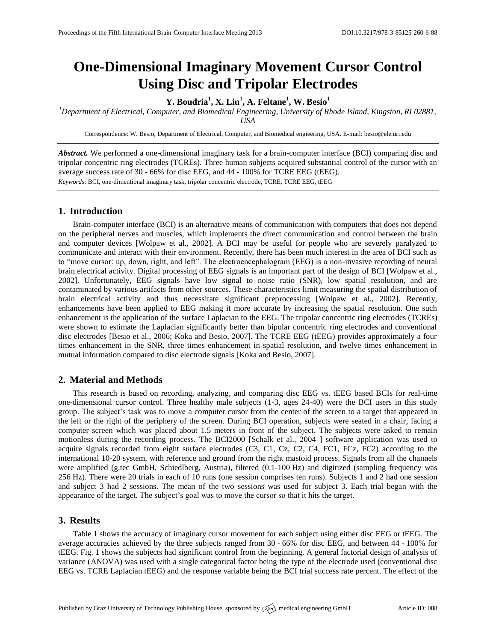# **One-Dimensional Imaginary Movement Cursor Control Using Disc and Tripolar Electrodes**

## **Y. Boudria<sup>1</sup> , X. Liu<sup>1</sup> , A. Feltane<sup>1</sup> , W. Besio<sup>1</sup>**

*<sup>1</sup>Department of Electrical, Computer, and Biomedical Engineering, University of Rhode Island, Kingston, RI 02881, USA*

Correspondence: W. Besio, Department of Electrical, Computer, and Biomedical engieering, USA. E-mail: [besio@ele.uri.edu](mailto:besio@ele.uri.edu)

*Abstract.* We performed a one-dimensional imaginary task for a brain-computer interface (BCI) comparing disc and tripolar concentric ring electrodes (TCREs). Three human subjects acquired substantial control of the cursor with an average success rate of 30 - 66% for disc EEG, and 44 - 100% for TCRE EEG (tEEG). *Keywords:* BCI, one-dimentional imaginary task, tripolar concentric electrode, TCRE, TCRE EEG, tEEG

## **1. Introduction**

Brain-computer interface (BCI) is an alternative means of communication with computers that does not depend on the peripheral nerves and muscles, which implements the direct communication and control between the brain and computer devices [Wolpaw et al., 2002]. A BCI may be useful for people who are severely paralyzed to communicate and interact with their environment. Recently, there has been much interest in the area of BCI such as to "move cursor: up, down, right, and left". The electroencephalogram (EEG) is a non-invasive recording of neural brain electrical activity. Digital processing of EEG signals is an important part of the design of BCI [Wolpaw et al., 2002]. Unfortunately, EEG signals have low signal to noise ratio (SNR), low spatial resolution, and are contaminated by various artifacts from other sources. These characteristics limit measuring the spatial distribution of brain electrical activity and thus necessitate significant preprocessing [Wolpaw et al., 2002]. Recently, enhancements have been applied to EEG making it more accurate by increasing the spatial resolution. One such enhancement is the application of the surface Laplacian to the EEG. The tripolar concentric ring electrodes (TCREs) were shown to estimate the Laplacian significantly better than bipolar concentric ring electrodes and conventional disc electrodes [Besio et al., 2006; Koka and Besio, 2007]. The TCRE EEG (tEEG) provides approximately a four times enhancement in the SNR, three times enhancement in spatial resolution, and twelve times enhancement in mutual information compared to disc electrode signals [Koka and Besio, 2007].

## **2. Material and Methods**

This research is based on recording, analyzing, and comparing disc EEG vs. tEEG based BCIs for real-time one-dimensional cursor control. Three healthy male subjects (1-3, ages 24-40) were the BCI users in this study group. The subject's task was to move a computer cursor from the center of the screen to a target that appeared in the left or the right of the periphery of the screen. During BCI operation, subjects were seated in a chair, facing a computer screen which was placed about 1.5 meters in front of the subject. The subjects were asked to remain motionless during the recording process. The BCI2000 [Schalk et al., 2004 ] software application was used to acquire signals recorded from eight surface electrodes (C3, C1, Cz, C2, C4, FC1, FCz, FC2) according to the international 10-20 system, with reference and ground from the right mastoid process. Signals from all the channels were amplified (g.tec GmbH, Schiedlberg, Austria), filtered (0.1-100 Hz) and digitized (sampling frequency was 256 Hz). There were 20 trials in each of 10 runs (one session comprises ten runs). Subjects 1 and 2 had one session and subject 3 had 2 sessions. The mean of the two sessions was used for subject 3. Each trial began with the appearance of the target. The subject's goal was to move the cursor so that it hits the target.

## **3. Results**

Table 1 shows the accuracy of imaginary cursor movement for each subject using either disc EEG or tEEG. The average accuracies achieved by the three subjects ranged from 30 - 66% for disc EEG, and between 44 - 100% for tEEG. Fig. 1 shows the subjects had significant control from the beginning. A general factorial design of analysis of variance (ANOVA) was used with a single categorical factor being the type of the electrode used (conventional disc EEG vs. TCRE Laplacian tEEG) and the response variable being the BCI trial success rate percent. The effect of the